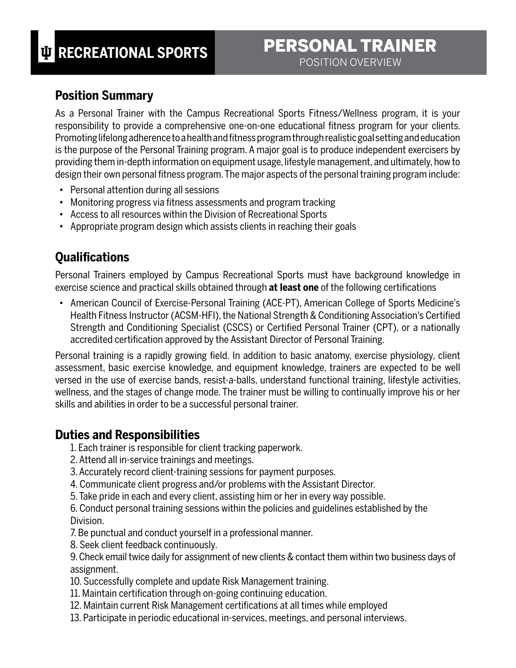## **Position Summary**

As a Personal Trainer with the Campus Recreational Sports Fitness/Wellness program, it is your responsibility to provide a comprehensive one-on-one educational fitness program for your clients. Promoting lifelong adherence to a health and fitness program through realistic goal setting and education is the purpose of the Personal Training program. A major goal is to produce independent exercisers by providing them in-depth information on equipment usage, lifestyle management, and ultimately, how to design their own personal fitness program. The major aspects of the personal training program include:

- Personal attention during all sessions
- Monitoring progress via fitness assessments and program tracking
- Access to all resources within the Division of Recreational Sports
- Appropriate program design which assists clients in reaching their goals

## **Qualifications**

Personal Trainers employed by Campus Recreational Sports must have background knowledge in exercise science and practical skills obtained through **at least one** of the following certifications

• American Council of Exercise-Personal Training (ACE-PT), American College of Sports Medicine's Health Fitness Instructor (ACSM-HFI), the National Strength & Conditioning Association's Certified Strength and Conditioning Specialist (CSCS) or Certified Personal Trainer (CPT), or a nationally accredited certification approved by the Assistant Director of Personal Training.

Personal training is a rapidly growing field. In addition to basic anatomy, exercise physiology, client assessment, basic exercise knowledge, and equipment knowledge, trainers are expected to be well versed in the use of exercise bands, resist-a-balls, understand functional training, lifestyle activities, wellness, and the stages of change mode. The trainer must be willing to continually improve his or her skills and abilities in order to be a successful personal trainer.

## **Duties and Responsibilities**

- 1. Each trainer is responsible for client tracking paperwork.
- 2. Attend all in-service trainings and meetings.
- 3. Accurately record client-training sessions for payment purposes.
- 4. Communicate client progress and/or problems with the Assistant Director.
- 5. Take pride in each and every client, assisting him or her in every way possible.
- 6. Conduct personal training sessions within the policies and guidelines established by the Division.
- 7. Be punctual and conduct yourself in a professional manner.
- 8. Seek client feedback continuously.
- 9. Check email twice daily for assignment of new clients & contact them within two business days of assignment.
- 10. Successfully complete and update Risk Management training.
- 11. Maintain certification through on-going continuing education.
- 12. Maintain current Risk Management certifications at all times while employed
- 13. Participate in periodic educational in-services, meetings, and personal interviews.